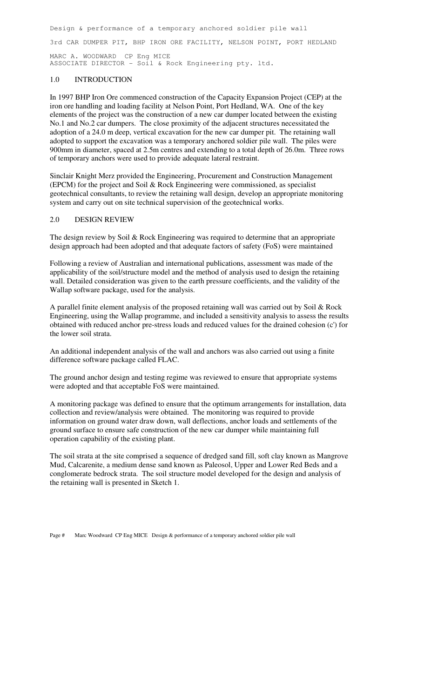Design & performance of a temporary anchored soldier pile wall 3rd CAR DUMPER PIT, BHP IRON ORE FACILITY, NELSON POINT, PORT HEDLAND MARC A. WOODWARD CP Eng MICE ASSOCIATE DIRECTOR - Soil & Rock Engineering pty. ltd.

# 1.0 INTRODUCTION

In 1997 BHP Iron Ore commenced construction of the Capacity Expansion Project (CEP) at the iron ore handling and loading facility at Nelson Point, Port Hedland, WA. One of the key elements of the project was the construction of a new car dumper located between the existing No.1 and No.2 car dumpers. The close proximity of the adjacent structures necessitated the adoption of a 24.0 m deep, vertical excavation for the new car dumper pit. The retaining wall adopted to support the excavation was a temporary anchored soldier pile wall. The piles were 900mm in diameter, spaced at 2.5m centres and extending to a total depth of 26.0m. Three rows of temporary anchors were used to provide adequate lateral restraint.

Sinclair Knight Merz provided the Engineering, Procurement and Construction Management (EPCM) for the project and Soil & Rock Engineering were commissioned, as specialist geotechnical consultants, to review the retaining wall design, develop an appropriate monitoring system and carry out on site technical supervision of the geotechnical works.

# 2.0 DESIGN REVIEW

The design review by Soil & Rock Engineering was required to determine that an appropriate design approach had been adopted and that adequate factors of safety (FoS) were maintained

Following a review of Australian and international publications, assessment was made of the applicability of the soil/structure model and the method of analysis used to design the retaining wall. Detailed consideration was given to the earth pressure coefficients, and the validity of the Wallap software package, used for the analysis.

A parallel finite element analysis of the proposed retaining wall was carried out by Soil & Rock Engineering, using the Wallap programme, and included a sensitivity analysis to assess the results obtained with reduced anchor pre-stress loads and reduced values for the drained cohesion (c') for the lower soil strata.

An additional independent analysis of the wall and anchors was also carried out using a finite difference software package called FLAC.

The ground anchor design and testing regime was reviewed to ensure that appropriate systems were adopted and that acceptable FoS were maintained.

A monitoring package was defined to ensure that the optimum arrangements for installation, data collection and review/analysis were obtained. The monitoring was required to provide information on ground water draw down, wall deflections, anchor loads and settlements of the ground surface to ensure safe construction of the new car dumper while maintaining full operation capability of the existing plant.

The soil strata at the site comprised a sequence of dredged sand fill, soft clay known as Mangrove Mud, Calcarenite, a medium dense sand known as Paleosol, Upper and Lower Red Beds and a conglomerate bedrock strata. The soil structure model developed for the design and analysis of the retaining wall is presented in Sketch 1.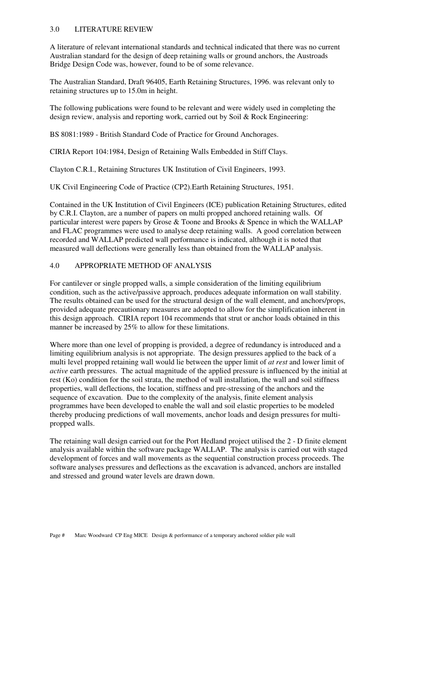# 3.0 LITERATURE REVIEW

A literature of relevant international standards and technical indicated that there was no current Australian standard for the design of deep retaining walls or ground anchors, the Austroads Bridge Design Code was, however, found to be of some relevance.

The Australian Standard, Draft 96405, Earth Retaining Structures, 1996. was relevant only to retaining structures up to 15.0m in height.

The following publications were found to be relevant and were widely used in completing the design review, analysis and reporting work, carried out by Soil & Rock Engineering:

BS 8081:1989 - British Standard Code of Practice for Ground Anchorages.

CIRIA Report 104:1984, Design of Retaining Walls Embedded in Stiff Clays.

Clayton C.R.I., Retaining Structures UK Institution of Civil Engineers, 1993.

UK Civil Engineering Code of Practice (CP2).Earth Retaining Structures, 1951.

Contained in the UK Institution of Civil Engineers (ICE) publication Retaining Structures, edited by C.R.I. Clayton, are a number of papers on multi propped anchored retaining walls. Of particular interest were papers by Grose & Toone and Brooks & Spence in which the WALLAP and FLAC programmes were used to analyse deep retaining walls. A good correlation between recorded and WALLAP predicted wall performance is indicated, although it is noted that measured wall deflections were generally less than obtained from the WALLAP analysis.

### 4.0 APPROPRIATE METHOD OF ANALYSIS

For cantilever or single propped walls, a simple consideration of the limiting equilibrium condition, such as the active/passive approach, produces adequate information on wall stability. The results obtained can be used for the structural design of the wall element, and anchors/props, provided adequate precautionary measures are adopted to allow for the simplification inherent in this design approach. CIRIA report 104 recommends that strut or anchor loads obtained in this manner be increased by 25% to allow for these limitations.

Where more than one level of propping is provided, a degree of redundancy is introduced and a limiting equilibrium analysis is not appropriate. The design pressures applied to the back of a multi level propped retaining wall would lie between the upper limit of *at rest* and lower limit of *active* earth pressures. The actual magnitude of the applied pressure is influenced by the initial at rest (Ko) condition for the soil strata, the method of wall installation, the wall and soil stiffness properties, wall deflections, the location, stiffness and pre-stressing of the anchors and the sequence of excavation. Due to the complexity of the analysis, finite element analysis programmes have been developed to enable the wall and soil elastic properties to be modeled thereby producing predictions of wall movements, anchor loads and design pressures for multipropped walls.

The retaining wall design carried out for the Port Hedland project utilised the 2 - D finite element analysis available within the software package WALLAP. The analysis is carried out with staged development of forces and wall movements as the sequential construction process proceeds. The software analyses pressures and deflections as the excavation is advanced, anchors are installed and stressed and ground water levels are drawn down.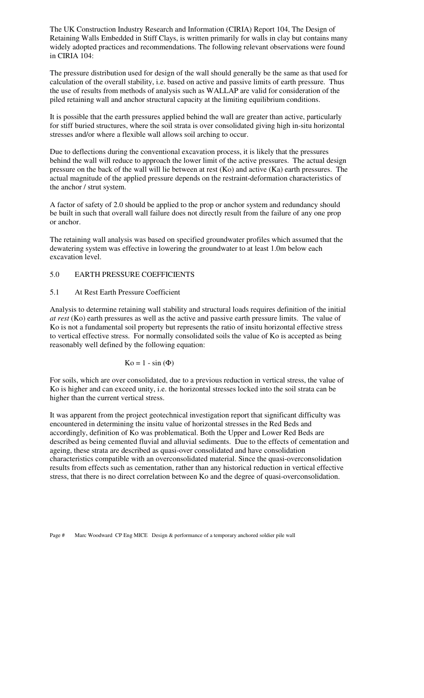The UK Construction Industry Research and Information (CIRIA) Report 104, The Design of Retaining Walls Embedded in Stiff Clays, is written primarily for walls in clay but contains many widely adopted practices and recommendations. The following relevant observations were found in CIRIA 104:

The pressure distribution used for design of the wall should generally be the same as that used for calculation of the overall stability, i.e. based on active and passive limits of earth pressure. Thus the use of results from methods of analysis such as WALLAP are valid for consideration of the piled retaining wall and anchor structural capacity at the limiting equilibrium conditions.

It is possible that the earth pressures applied behind the wall are greater than active, particularly for stiff buried structures, where the soil strata is over consolidated giving high in-situ horizontal stresses and/or where a flexible wall allows soil arching to occur.

Due to deflections during the conventional excavation process, it is likely that the pressures behind the wall will reduce to approach the lower limit of the active pressures. The actual design pressure on the back of the wall will lie between at rest (Ko) and active (Ka) earth pressures. The actual magnitude of the applied pressure depends on the restraint-deformation characteristics of the anchor / strut system.

A factor of safety of 2.0 should be applied to the prop or anchor system and redundancy should be built in such that overall wall failure does not directly result from the failure of any one prop or anchor.

The retaining wall analysis was based on specified groundwater profiles which assumed that the dewatering system was effective in lowering the groundwater to at least 1.0m below each excavation level.

### 5.0 EARTH PRESSURE COEFFICIENTS

#### 5.1 At Rest Earth Pressure Coefficient

Analysis to determine retaining wall stability and structural loads requires definition of the initial *at rest* (Ko) earth pressures as well as the active and passive earth pressure limits. The value of Ko is not a fundamental soil property but represents the ratio of insitu horizontal effective stress to vertical effective stress. For normally consolidated soils the value of Ko is accepted as being reasonably well defined by the following equation:

$$
Ko = 1 - \sin(\Phi)
$$

For soils, which are over consolidated, due to a previous reduction in vertical stress, the value of Ko is higher and can exceed unity, i.e. the horizontal stresses locked into the soil strata can be higher than the current vertical stress.

It was apparent from the project geotechnical investigation report that significant difficulty was encountered in determining the insitu value of horizontal stresses in the Red Beds and accordingly, definition of Ko was problematical. Both the Upper and Lower Red Beds are described as being cemented fluvial and alluvial sediments. Due to the effects of cementation and ageing, these strata are described as quasi-over consolidated and have consolidation characteristics compatible with an overconsolidated material. Since the quasi-overconsolidation results from effects such as cementation, rather than any historical reduction in vertical effective stress, that there is no direct correlation between Ko and the degree of quasi-overconsolidation.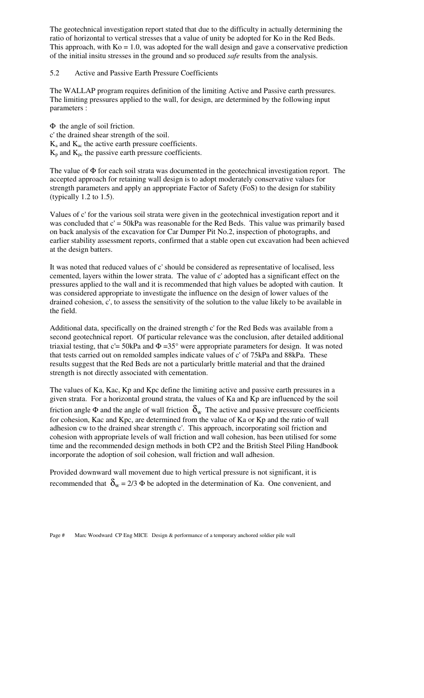The geotechnical investigation report stated that due to the difficulty in actually determining the ratio of horizontal to vertical stresses that a value of unity be adopted for Ko in the Red Beds. This approach, with  $Ko = 1.0$ , was adopted for the wall design and gave a conservative prediction of the initial insitu stresses in the ground and so produced *safe* results from the analysis.

### 5.2 Active and Passive Earth Pressure Coefficients

The WALLAP program requires definition of the limiting Active and Passive earth pressures. The limiting pressures applied to the wall, for design, are determined by the following input parameters :

Φ the angle of soil friction. c' the drained shear strength of the soil.  $K_a$  and  $K_{ac}$  the active earth pressure coefficients.  $K_p$  and  $K_{pc}$  the passive earth pressure coefficients.

The value of Φ for each soil strata was documented in the geotechnical investigation report. The accepted approach for retaining wall design is to adopt moderately conservative values for strength parameters and apply an appropriate Factor of Safety (FoS) to the design for stability (typically 1.2 to 1.5).

Values of c' for the various soil strata were given in the geotechnical investigation report and it was concluded that  $c' = 50kPa$  was reasonable for the Red Beds. This value was primarily based on back analysis of the excavation for Car Dumper Pit No.2, inspection of photographs, and earlier stability assessment reports, confirmed that a stable open cut excavation had been achieved at the design batters.

It was noted that reduced values of c' should be considered as representative of localised, less cemented, layers within the lower strata. The value of c' adopted has a significant effect on the pressures applied to the wall and it is recommended that high values be adopted with caution. It was considered appropriate to investigate the influence on the design of lower values of the drained cohesion, c', to assess the sensitivity of the solution to the value likely to be available in the field.

Additional data, specifically on the drained strength c' for the Red Beds was available from a second geotechnical report. Of particular relevance was the conclusion, after detailed additional triaxial testing, that c'= 50kPa and  $\Phi$  =35° were appropriate parameters for design. It was noted that tests carried out on remolded samples indicate values of c' of 75kPa and 88kPa. These results suggest that the Red Beds are not a particularly brittle material and that the drained strength is not directly associated with cementation.

The values of Ka, Kac, Kp and Kpc define the limiting active and passive earth pressures in a given strata. For a horizontal ground strata, the values of Ka and Kp are influenced by the soil friction angle  $\Phi$  and the angle of wall friction  $\delta_w$ . The active and passive pressure coefficients for cohesion, Kac and Kpc, are determined from the value of Ka or Kp and the ratio of wall adhesion cw to the drained shear strength c'. This approach, incorporating soil friction and cohesion with appropriate levels of wall friction and wall cohesion, has been utilised for some time and the recommended design methods in both CP2 and the British Steel Piling Handbook incorporate the adoption of soil cohesion, wall friction and wall adhesion.

Provided downward wall movement due to high vertical pressure is not significant, it is recommended that  $\delta_w = 2/3 \Phi$  be adopted in the determination of Ka. One convenient, and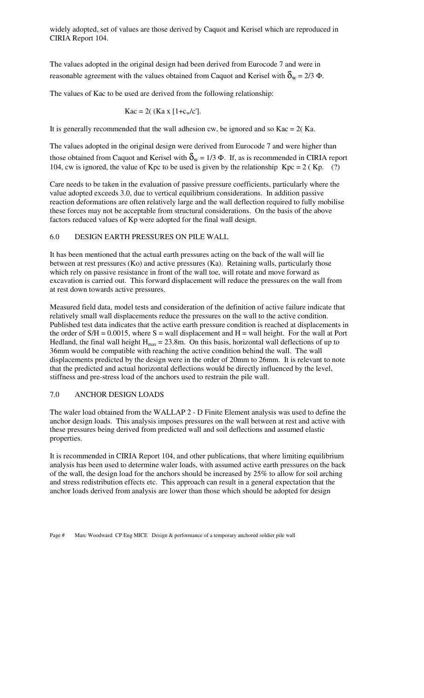widely adopted, set of values are those derived by Caquot and Kerisel which are reproduced in CIRIA Report 104.

The values adopted in the original design had been derived from Eurocode 7 and were in reasonable agreement with the values obtained from Caquot and Kerisel with  $\delta_{\rm w} = 2/3 \Phi$ .

The values of Kac to be used are derived from the following relationship:

$$
Kac = 2((Ka x [1+c_w/c'])
$$

It is generally recommended that the wall adhesion cw, be ignored and so  $Kac = 2(Ka)$ .

The values adopted in the original design were derived from Eurocode 7 and were higher than those obtained from Caquot and Kerisel with  $\delta_w = 1/3 \Phi$ . If, as is recommended in CIRIA report 104, cw is ignored, the value of Kpc to be used is given by the relationship  $Kpc = 2$  (Kp. (?)

Care needs to be taken in the evaluation of passive pressure coefficients, particularly where the value adopted exceeds 3.0, due to vertical equilibrium considerations. In addition passive reaction deformations are often relatively large and the wall deflection required to fully mobilise these forces may not be acceptable from structural considerations. On the basis of the above factors reduced values of Kp were adopted for the final wall design.

#### 6.0 DESIGN EARTH PRESSURES ON PILE WALL

It has been mentioned that the actual earth pressures acting on the back of the wall will lie between at rest pressures (Ko) and active pressures (Ka). Retaining walls, particularly those which rely on passive resistance in front of the wall toe, will rotate and move forward as excavation is carried out. This forward displacement will reduce the pressures on the wall from at rest down towards active pressures.

Measured field data, model tests and consideration of the definition of active failure indicate that relatively small wall displacements reduce the pressures on the wall to the active condition. Published test data indicates that the active earth pressure condition is reached at displacements in the order of  $S/H = 0.0015$ , where  $S =$  wall displacement and  $H =$  wall height. For the wall at Port Hedland, the final wall height  $H_{max} = 23.8$ m. On this basis, horizontal wall deflections of up to 36mm would be compatible with reaching the active condition behind the wall. The wall displacements predicted by the design were in the order of 20mm to 26mm. It is relevant to note that the predicted and actual horizontal deflections would be directly influenced by the level, stiffness and pre-stress load of the anchors used to restrain the pile wall.

#### 7.0 ANCHOR DESIGN LOADS

The waler load obtained from the WALLAP 2 - D Finite Element analysis was used to define the anchor design loads. This analysis imposes pressures on the wall between at rest and active with these pressures being derived from predicted wall and soil deflections and assumed elastic properties.

It is recommended in CIRIA Report 104, and other publications, that where limiting equilibrium analysis has been used to determine waler loads, with assumed active earth pressures on the back of the wall, the design load for the anchors should be increased by 25% to allow for soil arching and stress redistribution effects etc. This approach can result in a general expectation that the anchor loads derived from analysis are lower than those which should be adopted for design

Page # Marc Woodward CP Eng MICE Design & performance of a temporary anchored soldier pile wall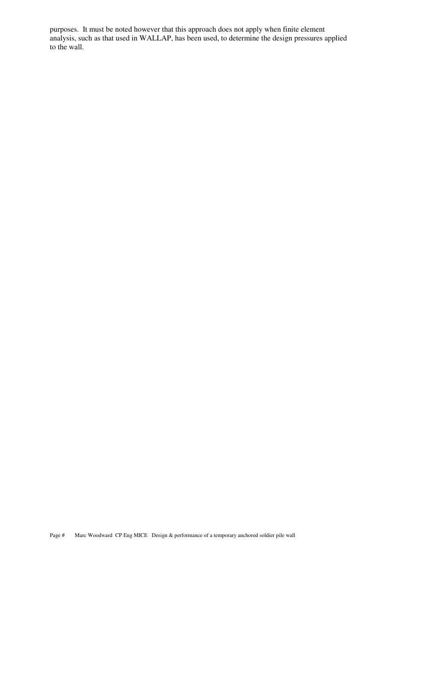purposes. It must be noted however that this approach does not apply when finite element analysis, such as that used in WALLAP, has been used, to determine the design pressures applied to the wall.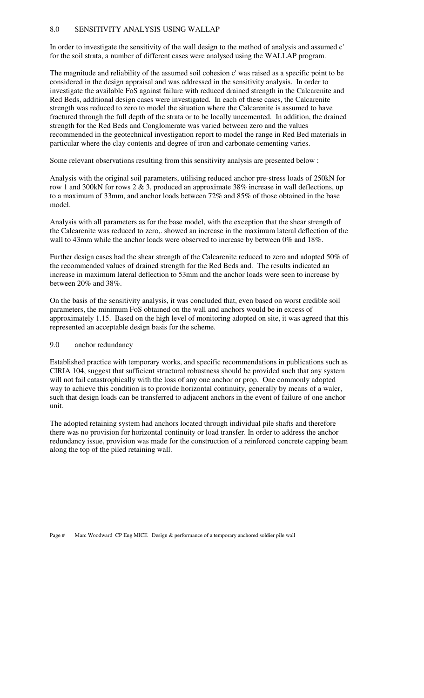### 8.0 SENSITIVITY ANALYSIS USING WALLAP

In order to investigate the sensitivity of the wall design to the method of analysis and assumed c' for the soil strata, a number of different cases were analysed using the WALLAP program.

The magnitude and reliability of the assumed soil cohesion c' was raised as a specific point to be considered in the design appraisal and was addressed in the sensitivity analysis. In order to investigate the available FoS against failure with reduced drained strength in the Calcarenite and Red Beds, additional design cases were investigated. In each of these cases, the Calcarenite strength was reduced to zero to model the situation where the Calcarenite is assumed to have fractured through the full depth of the strata or to be locally uncemented. In addition, the drained strength for the Red Beds and Conglomerate was varied between zero and the values recommended in the geotechnical investigation report to model the range in Red Bed materials in particular where the clay contents and degree of iron and carbonate cementing varies.

Some relevant observations resulting from this sensitivity analysis are presented below :

Analysis with the original soil parameters, utilising reduced anchor pre-stress loads of 250kN for row 1 and 300kN for rows 2 & 3, produced an approximate 38% increase in wall deflections, up to a maximum of 33mm, and anchor loads between 72% and 85% of those obtained in the base model.

Analysis with all parameters as for the base model, with the exception that the shear strength of the Calcarenite was reduced to zero,. showed an increase in the maximum lateral deflection of the wall to 43mm while the anchor loads were observed to increase by between 0% and 18%.

Further design cases had the shear strength of the Calcarenite reduced to zero and adopted 50% of the recommended values of drained strength for the Red Beds and. The results indicated an increase in maximum lateral deflection to 53mm and the anchor loads were seen to increase by between 20% and 38%.

On the basis of the sensitivity analysis, it was concluded that, even based on worst credible soil parameters, the minimum FoS obtained on the wall and anchors would be in excess of approximately 1.15. Based on the high level of monitoring adopted on site, it was agreed that this represented an acceptable design basis for the scheme.

#### 9.0 anchor redundancy

Established practice with temporary works, and specific recommendations in publications such as CIRIA 104, suggest that sufficient structural robustness should be provided such that any system will not fail catastrophically with the loss of any one anchor or prop. One commonly adopted way to achieve this condition is to provide horizontal continuity, generally by means of a waler, such that design loads can be transferred to adjacent anchors in the event of failure of one anchor unit.

The adopted retaining system had anchors located through individual pile shafts and therefore there was no provision for horizontal continuity or load transfer. In order to address the anchor redundancy issue, provision was made for the construction of a reinforced concrete capping beam along the top of the piled retaining wall.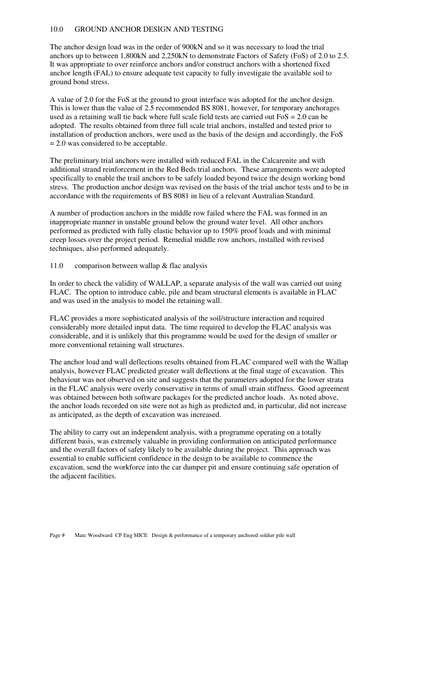# 10.0 GROUND ANCHOR DESIGN AND TESTING

The anchor design load was in the order of 900kN and so it was necessary to load the trial anchors up to between 1,800kN and 2,250kN to demonstrate Factors of Safety (FoS) of 2.0 to 2.5. It was appropriate to over reinforce anchors and/or construct anchors with a shortened fixed anchor length (FAL) to ensure adequate test capacity to fully investigate the available soil to ground bond stress.

A value of 2.0 for the FoS at the ground to grout interface was adopted for the anchor design. This is lower than the value of 2.5 recommended BS 8081, however, for temporary anchorages used as a retaining wall tie back where full scale field tests are carried out  $F \circ S = 2.0$  can be adopted. The results obtained from three full scale trial anchors, installed and tested prior to installation of production anchors, were used as the basis of the design and accordingly, the FoS = 2.0 was considered to be acceptable.

The preliminary trial anchors were installed with reduced FAL in the Calcarenite and with additional strand reinforcement in the Red Beds trial anchors. These arrangements were adopted specifically to enable the trail anchors to be safely loaded beyond twice the design working bond stress. The production anchor design was revised on the basis of the trial anchor tests and to be in accordance with the requirements of BS 8081 in lieu of a relevant Australian Standard.

A number of production anchors in the middle row failed where the FAL was formed in an inappropriate manner in unstable ground below the ground water level. All other anchors performed as predicted with fully elastic behavior up to 150% proof loads and with minimal creep losses over the project period. Remedial middle row anchors, installed with revised techniques, also performed adequately.

#### 11.0 comparison between wallap & flac analysis

In order to check the validity of WALLAP, a separate analysis of the wall was carried out using FLAC. The option to introduce cable, pile and beam structural elements is available in FLAC and was used in the analysis to model the retaining wall.

FLAC provides a more sophisticated analysis of the soil/structure interaction and required considerably more detailed input data. The time required to develop the FLAC analysis was considerable, and it is unlikely that this programme would be used for the design of smaller or more conventional retaining wall structures.

The anchor load and wall deflections results obtained from FLAC compared well with the Wallap analysis, however FLAC predicted greater wall deflections at the final stage of excavation. This behaviour was not observed on site and suggests that the parameters adopted for the lower strata in the FLAC analysis were overly conservative in terms of small strain stiffness. Good agreement was obtained between both software packages for the predicted anchor loads. As noted above, the anchor loads recorded on site were not as high as predicted and, in particular, did not increase as anticipated, as the depth of excavation was increased.

The ability to carry out an independent analysis, with a programme operating on a totally different basis, was extremely valuable in providing conformation on anticipated performance and the overall factors of safety likely to be available during the project. This approach was essential to enable sufficient confidence in the design to be available to commence the excavation, send the workforce into the car dumper pit and ensure continuing safe operation of the adjacent facilities.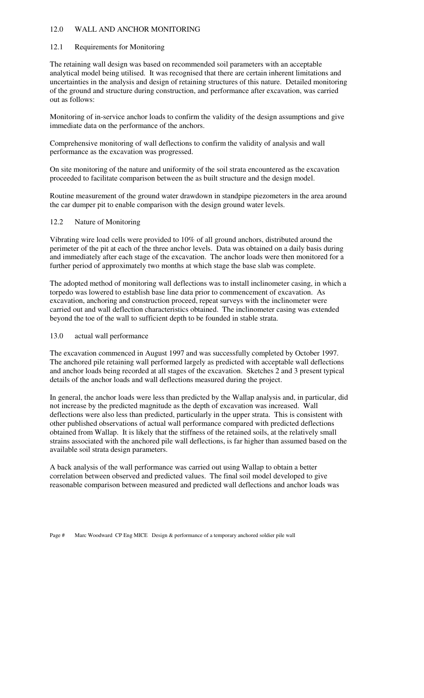# 12.0 WALL AND ANCHOR MONITORING

### 12.1 Requirements for Monitoring

The retaining wall design was based on recommended soil parameters with an acceptable analytical model being utilised. It was recognised that there are certain inherent limitations and uncertainties in the analysis and design of retaining structures of this nature. Detailed monitoring of the ground and structure during construction, and performance after excavation, was carried out as follows:

Monitoring of in-service anchor loads to confirm the validity of the design assumptions and give immediate data on the performance of the anchors.

Comprehensive monitoring of wall deflections to confirm the validity of analysis and wall performance as the excavation was progressed.

On site monitoring of the nature and uniformity of the soil strata encountered as the excavation proceeded to facilitate comparison between the as built structure and the design model.

Routine measurement of the ground water drawdown in standpipe piezometers in the area around the car dumper pit to enable comparison with the design ground water levels.

### 12.2 Nature of Monitoring

Vibrating wire load cells were provided to 10% of all ground anchors, distributed around the perimeter of the pit at each of the three anchor levels. Data was obtained on a daily basis during and immediately after each stage of the excavation. The anchor loads were then monitored for a further period of approximately two months at which stage the base slab was complete.

The adopted method of monitoring wall deflections was to install inclinometer casing, in which a torpedo was lowered to establish base line data prior to commencement of excavation. As excavation, anchoring and construction proceed, repeat surveys with the inclinometer were carried out and wall deflection characteristics obtained. The inclinometer casing was extended beyond the toe of the wall to sufficient depth to be founded in stable strata.

### 13.0 actual wall performance

The excavation commenced in August 1997 and was successfully completed by October 1997. The anchored pile retaining wall performed largely as predicted with acceptable wall deflections and anchor loads being recorded at all stages of the excavation. Sketches 2 and 3 present typical details of the anchor loads and wall deflections measured during the project.

In general, the anchor loads were less than predicted by the Wallap analysis and, in particular, did not increase by the predicted magnitude as the depth of excavation was increased. Wall deflections were also less than predicted, particularly in the upper strata. This is consistent with other published observations of actual wall performance compared with predicted deflections obtained from Wallap. It is likely that the stiffness of the retained soils, at the relatively small strains associated with the anchored pile wall deflections, is far higher than assumed based on the available soil strata design parameters.

A back analysis of the wall performance was carried out using Wallap to obtain a better correlation between observed and predicted values. The final soil model developed to give reasonable comparison between measured and predicted wall deflections and anchor loads was